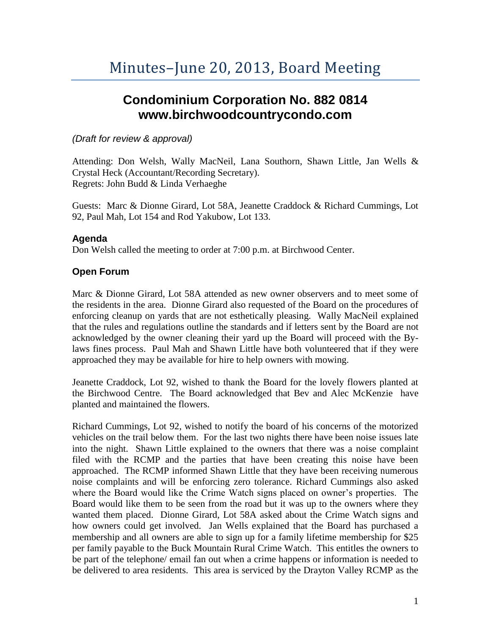# **Condominium Corporation No. 882 0814 www.birchwoodcountrycondo.com**

## *(Draft for review & approval)*

Attending: Don Welsh, Wally MacNeil, Lana Southorn, Shawn Little, Jan Wells & Crystal Heck (Accountant/Recording Secretary). Regrets: John Budd & Linda Verhaeghe

Guests: Marc & Dionne Girard, Lot 58A, Jeanette Craddock & Richard Cummings, Lot 92, Paul Mah, Lot 154 and Rod Yakubow, Lot 133.

## **Agenda**

Don Welsh called the meeting to order at 7:00 p.m. at Birchwood Center.

## **Open Forum**

Marc & Dionne Girard, Lot 58A attended as new owner observers and to meet some of the residents in the area. Dionne Girard also requested of the Board on the procedures of enforcing cleanup on yards that are not esthetically pleasing. Wally MacNeil explained that the rules and regulations outline the standards and if letters sent by the Board are not acknowledged by the owner cleaning their yard up the Board will proceed with the Bylaws fines process. Paul Mah and Shawn Little have both volunteered that if they were approached they may be available for hire to help owners with mowing.

Jeanette Craddock, Lot 92, wished to thank the Board for the lovely flowers planted at the Birchwood Centre. The Board acknowledged that Bev and Alec McKenzie have planted and maintained the flowers.

Richard Cummings, Lot 92, wished to notify the board of his concerns of the motorized vehicles on the trail below them. For the last two nights there have been noise issues late into the night. Shawn Little explained to the owners that there was a noise complaint filed with the RCMP and the parties that have been creating this noise have been approached. The RCMP informed Shawn Little that they have been receiving numerous noise complaints and will be enforcing zero tolerance. Richard Cummings also asked where the Board would like the Crime Watch signs placed on owner's properties. The Board would like them to be seen from the road but it was up to the owners where they wanted them placed. Dionne Girard, Lot 58A asked about the Crime Watch signs and how owners could get involved. Jan Wells explained that the Board has purchased a membership and all owners are able to sign up for a family lifetime membership for \$25 per family payable to the Buck Mountain Rural Crime Watch. This entitles the owners to be part of the telephone/ email fan out when a crime happens or information is needed to be delivered to area residents. This area is serviced by the Drayton Valley RCMP as the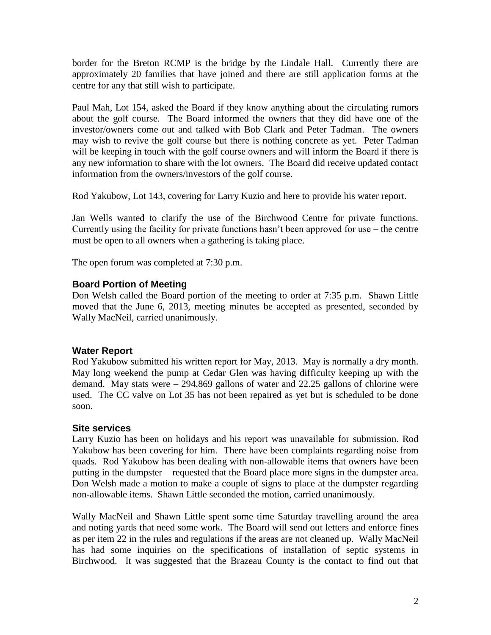border for the Breton RCMP is the bridge by the Lindale Hall. Currently there are approximately 20 families that have joined and there are still application forms at the centre for any that still wish to participate.

Paul Mah, Lot 154, asked the Board if they know anything about the circulating rumors about the golf course. The Board informed the owners that they did have one of the investor/owners come out and talked with Bob Clark and Peter Tadman. The owners may wish to revive the golf course but there is nothing concrete as yet. Peter Tadman will be keeping in touch with the golf course owners and will inform the Board if there is any new information to share with the lot owners. The Board did receive updated contact information from the owners/investors of the golf course.

Rod Yakubow, Lot 143, covering for Larry Kuzio and here to provide his water report.

Jan Wells wanted to clarify the use of the Birchwood Centre for private functions. Currently using the facility for private functions hasn't been approved for use – the centre must be open to all owners when a gathering is taking place.

The open forum was completed at 7:30 p.m.

## **Board Portion of Meeting**

Don Welsh called the Board portion of the meeting to order at 7:35 p.m. Shawn Little moved that the June 6, 2013, meeting minutes be accepted as presented, seconded by Wally MacNeil, carried unanimously.

#### **Water Report**

Rod Yakubow submitted his written report for May, 2013. May is normally a dry month. May long weekend the pump at Cedar Glen was having difficulty keeping up with the demand. May stats were – 294,869 gallons of water and 22.25 gallons of chlorine were used. The CC valve on Lot 35 has not been repaired as yet but is scheduled to be done soon.

#### **Site services**

Larry Kuzio has been on holidays and his report was unavailable for submission. Rod Yakubow has been covering for him. There have been complaints regarding noise from quads. Rod Yakubow has been dealing with non-allowable items that owners have been putting in the dumpster – requested that the Board place more signs in the dumpster area. Don Welsh made a motion to make a couple of signs to place at the dumpster regarding non-allowable items. Shawn Little seconded the motion, carried unanimously.

Wally MacNeil and Shawn Little spent some time Saturday travelling around the area and noting yards that need some work. The Board will send out letters and enforce fines as per item 22 in the rules and regulations if the areas are not cleaned up. Wally MacNeil has had some inquiries on the specifications of installation of septic systems in Birchwood. It was suggested that the Brazeau County is the contact to find out that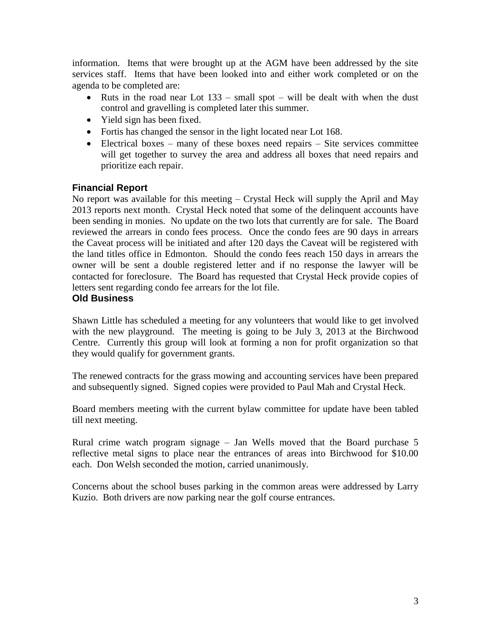information. Items that were brought up at the AGM have been addressed by the site services staff. Items that have been looked into and either work completed or on the agenda to be completed are:

- Ruts in the road near Lot  $133 \text{small spot} \text{will be dealt with when the dust}$ control and gravelling is completed later this summer.
- Yield sign has been fixed.
- Fortis has changed the sensor in the light located near Lot 168.
- $\bullet$  Electrical boxes many of these boxes need repairs Site services committee will get together to survey the area and address all boxes that need repairs and prioritize each repair.

## **Financial Report**

No report was available for this meeting – Crystal Heck will supply the April and May 2013 reports next month. Crystal Heck noted that some of the delinquent accounts have been sending in monies. No update on the two lots that currently are for sale. The Board reviewed the arrears in condo fees process. Once the condo fees are 90 days in arrears the Caveat process will be initiated and after 120 days the Caveat will be registered with the land titles office in Edmonton. Should the condo fees reach 150 days in arrears the owner will be sent a double registered letter and if no response the lawyer will be contacted for foreclosure. The Board has requested that Crystal Heck provide copies of letters sent regarding condo fee arrears for the lot file.

#### **Old Business**

Shawn Little has scheduled a meeting for any volunteers that would like to get involved with the new playground. The meeting is going to be July 3, 2013 at the Birchwood Centre. Currently this group will look at forming a non for profit organization so that they would qualify for government grants.

The renewed contracts for the grass mowing and accounting services have been prepared and subsequently signed. Signed copies were provided to Paul Mah and Crystal Heck.

Board members meeting with the current bylaw committee for update have been tabled till next meeting.

Rural crime watch program signage – Jan Wells moved that the Board purchase 5 reflective metal signs to place near the entrances of areas into Birchwood for \$10.00 each. Don Welsh seconded the motion, carried unanimously.

Concerns about the school buses parking in the common areas were addressed by Larry Kuzio. Both drivers are now parking near the golf course entrances.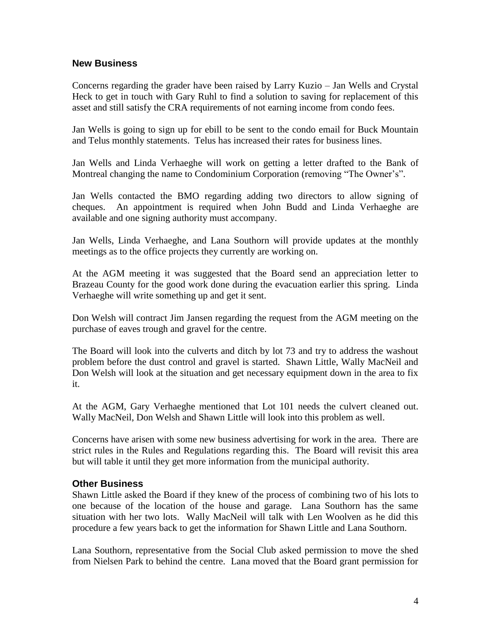#### **New Business**

Concerns regarding the grader have been raised by Larry Kuzio – Jan Wells and Crystal Heck to get in touch with Gary Ruhl to find a solution to saving for replacement of this asset and still satisfy the CRA requirements of not earning income from condo fees.

Jan Wells is going to sign up for ebill to be sent to the condo email for Buck Mountain and Telus monthly statements. Telus has increased their rates for business lines.

Jan Wells and Linda Verhaeghe will work on getting a letter drafted to the Bank of Montreal changing the name to Condominium Corporation (removing "The Owner's".

Jan Wells contacted the BMO regarding adding two directors to allow signing of cheques. An appointment is required when John Budd and Linda Verhaeghe are available and one signing authority must accompany.

Jan Wells, Linda Verhaeghe, and Lana Southorn will provide updates at the monthly meetings as to the office projects they currently are working on.

At the AGM meeting it was suggested that the Board send an appreciation letter to Brazeau County for the good work done during the evacuation earlier this spring. Linda Verhaeghe will write something up and get it sent.

Don Welsh will contract Jim Jansen regarding the request from the AGM meeting on the purchase of eaves trough and gravel for the centre.

The Board will look into the culverts and ditch by lot 73 and try to address the washout problem before the dust control and gravel is started. Shawn Little, Wally MacNeil and Don Welsh will look at the situation and get necessary equipment down in the area to fix it.

At the AGM, Gary Verhaeghe mentioned that Lot 101 needs the culvert cleaned out. Wally MacNeil, Don Welsh and Shawn Little will look into this problem as well.

Concerns have arisen with some new business advertising for work in the area. There are strict rules in the Rules and Regulations regarding this. The Board will revisit this area but will table it until they get more information from the municipal authority.

#### **Other Business**

Shawn Little asked the Board if they knew of the process of combining two of his lots to one because of the location of the house and garage. Lana Southorn has the same situation with her two lots. Wally MacNeil will talk with Len Woolven as he did this procedure a few years back to get the information for Shawn Little and Lana Southorn.

Lana Southorn, representative from the Social Club asked permission to move the shed from Nielsen Park to behind the centre. Lana moved that the Board grant permission for